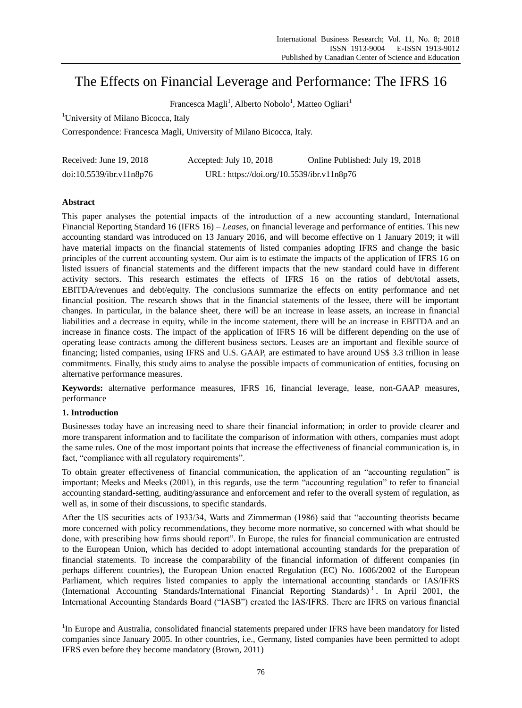# The Effects on Financial Leverage and Performance: The IFRS 16

Francesca Magli<sup>1</sup>, Alberto Nobolo<sup>1</sup>, Matteo Ogliari<sup>1</sup>

<sup>1</sup>University of Milano Bicocca, Italy

Correspondence: Francesca Magli, University of Milano Bicocca, Italy.

| Received: June 19, 2018  | Accepted: July 10, $2018$                 | Online Published: July 19, 2018 |
|--------------------------|-------------------------------------------|---------------------------------|
| doi:10.5539/ibr.v11n8p76 | URL: https://doi.org/10.5539/ibr.v11n8p76 |                                 |

# **Abstract**

This paper analyses the potential impacts of the introduction of a new accounting standard, International Financial Reporting Standard 16 (IFRS 16) – *Leases,* on financial leverage and performance of entities. This new accounting standard was introduced on 13 January 2016, and will become effective on 1 January 2019; it will have material impacts on the financial statements of listed companies adopting IFRS and change the basic principles of the current accounting system. Our aim is to estimate the impacts of the application of IFRS 16 on listed issuers of financial statements and the different impacts that the new standard could have in different activity sectors. This research estimates the effects of IFRS 16 on the ratios of debt/total assets, EBITDA/revenues and debt/equity. The conclusions summarize the effects on entity performance and net financial position. The research shows that in the financial statements of the lessee, there will be important changes. In particular, in the balance sheet, there will be an increase in lease assets, an increase in financial liabilities and a decrease in equity, while in the income statement, there will be an increase in EBITDA and an increase in finance costs. The impact of the application of IFRS 16 will be different depending on the use of operating lease contracts among the different business sectors. Leases are an important and flexible source of financing; listed companies, using IFRS and U.S. GAAP, are estimated to have around US\$ 3.3 trillion in lease commitments. Finally, this study aims to analyse the possible impacts of communication of entities, focusing on alternative performance measures.

**Keywords:** alternative performance measures, IFRS 16, financial leverage, lease, non-GAAP measures, performance

# **1. Introduction**

-

Businesses today have an increasing need to share their financial information; in order to provide clearer and more transparent information and to facilitate the comparison of information with others, companies must adopt the same rules. One of the most important points that increase the effectiveness of financial communication is, in fact, "compliance with all regulatory requirements".

To obtain greater effectiveness of financial communication, the application of an "accounting regulation" is important; Meeks and Meeks (2001), in this regards, use the term "accounting regulation" to refer to financial accounting standard-setting, auditing/assurance and enforcement and refer to the overall system of regulation, as well as, in some of their discussions, to specific standards.

After the US securities acts of 1933/34, Watts and Zimmerman (1986) said that "accounting theorists became more concerned with policy recommendations, they become more normative, so concerned with what should be done, with prescribing how firms should report". In Europe, the rules for financial communication are entrusted to the European Union, which has decided to adopt international accounting standards for the preparation of financial statements. To increase the comparability of the financial information of different companies (in perhaps different countries), the European Union enacted Regulation (EC) No. 1606/2002 of the European Parliament, which requires listed companies to apply the international accounting standards or IAS/IFRS (International Accounting Standards/International Financial Reporting Standards)<sup>1</sup>. In April 2001, the International Accounting Standards Board ("IASB") created the IAS/IFRS. There are IFRS on various financial

<sup>&</sup>lt;sup>1</sup>In Europe and Australia, consolidated financial statements prepared under IFRS have been mandatory for listed companies since January 2005. In other countries, i.e., Germany, listed companies have been permitted to adopt IFRS even before they become mandatory (Brown, 2011)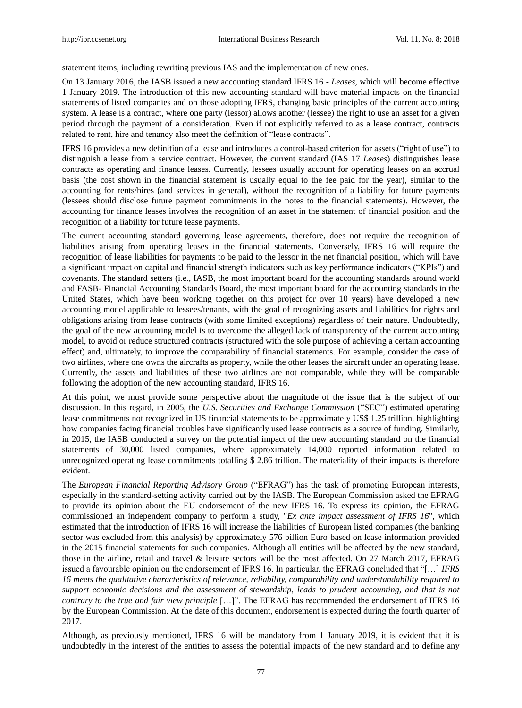statement items, including rewriting previous IAS and the implementation of new ones.

On 13 January 2016, the IASB issued a new accounting standard IFRS 16 - *Leases*, which will become effective 1 January 2019. The introduction of this new accounting standard will have material impacts on the financial statements of listed companies and on those adopting IFRS, changing basic principles of the current accounting system. A lease is a contract, where one party (lessor) allows another (lessee) the right to use an asset for a given period through the payment of a consideration. Even if not explicitly referred to as a lease contract, contracts related to rent, hire and tenancy also meet the definition of "lease contracts".

IFRS 16 provides a new definition of a lease and introduces a control-based criterion for assets ("right of use") to distinguish a lease from a service contract. However, the current standard (IAS 17 *Leases*) distinguishes lease contracts as operating and finance leases. Currently, lessees usually account for operating leases on an accrual basis (the cost shown in the financial statement is usually equal to the fee paid for the year), similar to the accounting for rents/hires (and services in general), without the recognition of a liability for future payments (lessees should disclose future payment commitments in the notes to the financial statements). However, the accounting for finance leases involves the recognition of an asset in the statement of financial position and the recognition of a liability for future lease payments.

The current accounting standard governing lease agreements, therefore, does not require the recognition of liabilities arising from operating leases in the financial statements. Conversely, IFRS 16 will require the recognition of lease liabilities for payments to be paid to the lessor in the net financial position, which will have a significant impact on capital and financial strength indicators such as key performance indicators ("KPIs") and covenants. The standard setters (i.e., IASB, the most important board for the accounting standards around world and FASB- Financial Accounting Standards Board, the most important board for the accounting standards in the United States, which have been working together on this project for over 10 years) have developed a new accounting model applicable to lessees/tenants, with the goal of recognizing assets and liabilities for rights and obligations arising from lease contracts (with some limited exceptions) regardless of their nature. Undoubtedly, the goal of the new accounting model is to overcome the alleged lack of transparency of the current accounting model, to avoid or reduce structured contracts (structured with the sole purpose of achieving a certain accounting effect) and, ultimately, to improve the comparability of financial statements. For example, consider the case of two airlines, where one owns the aircrafts as property, while the other leases the aircraft under an operating lease. Currently, the assets and liabilities of these two airlines are not comparable, while they will be comparable following the adoption of the new accounting standard, IFRS 16.

At this point, we must provide some perspective about the magnitude of the issue that is the subject of our discussion. In this regard, in 2005, the *U.S. Securities and Exchange Commission* ("SEC") estimated operating lease commitments not recognized in US financial statements to be approximately US\$ 1.25 trillion, highlighting how companies facing financial troubles have significantly used lease contracts as a source of funding. Similarly, in 2015, the IASB conducted a survey on the potential impact of the new accounting standard on the financial statements of 30,000 listed companies, where approximately 14,000 reported information related to unrecognized operating lease commitments totalling \$ 2.86 trillion. The materiality of their impacts is therefore evident.

The *European Financial Reporting Advisory Group* ("EFRAG") has the task of promoting European interests, especially in the standard-setting activity carried out by the IASB. The European Commission asked the EFRAG to provide its opinion about the EU endorsement of the new IFRS 16. To express its opinion, the EFRAG commissioned an independent company to perform a study, "*Ex ante impact assessment of IFRS 16*", which estimated that the introduction of IFRS 16 will increase the liabilities of European listed companies (the banking sector was excluded from this analysis) by approximately 576 billion Euro based on lease information provided in the 2015 financial statements for such companies. Although all entities will be affected by the new standard, those in the airline, retail and travel & leisure sectors will be the most affected. On 27 March 2017, EFRAG issued a favourable opinion on the endorsement of IFRS 16. In particular, the EFRAG concluded that "[…] *IFRS 16 meets the qualitative characteristics of relevance, reliability, comparability and understandability required to support economic decisions and the assessment of stewardship, leads to prudent accounting, and that is not contrary to the true and fair view principle* […]". The EFRAG has recommended the endorsement of IFRS 16 by the European Commission. At the date of this document, endorsement is expected during the fourth quarter of 2017.

Although, as previously mentioned, IFRS 16 will be mandatory from 1 January 2019, it is evident that it is undoubtedly in the interest of the entities to assess the potential impacts of the new standard and to define any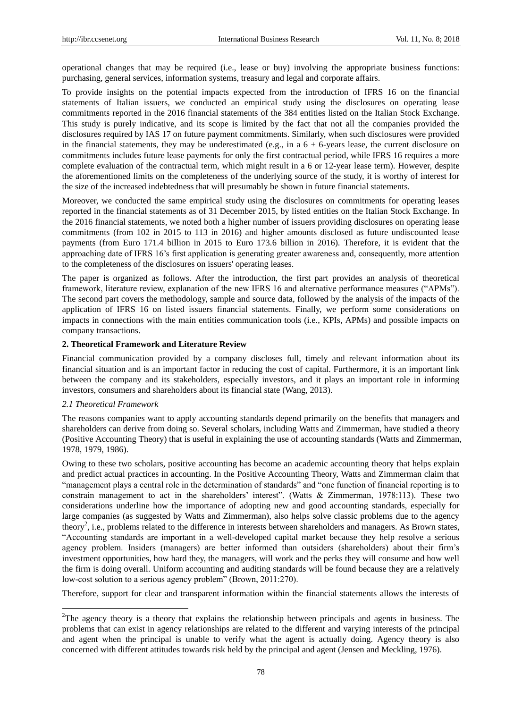operational changes that may be required (i.e., lease or buy) involving the appropriate business functions: purchasing, general services, information systems, treasury and legal and corporate affairs.

To provide insights on the potential impacts expected from the introduction of IFRS 16 on the financial statements of Italian issuers, we conducted an empirical study using the disclosures on operating lease commitments reported in the 2016 financial statements of the 384 entities listed on the Italian Stock Exchange. This study is purely indicative, and its scope is limited by the fact that not all the companies provided the disclosures required by IAS 17 on future payment commitments. Similarly, when such disclosures were provided in the financial statements, they may be underestimated (e.g., in a  $6 + 6$ -years lease, the current disclosure on commitments includes future lease payments for only the first contractual period, while IFRS 16 requires a more complete evaluation of the contractual term, which might result in a 6 or 12-year lease term). However, despite the aforementioned limits on the completeness of the underlying source of the study, it is worthy of interest for the size of the increased indebtedness that will presumably be shown in future financial statements.

Moreover, we conducted the same empirical study using the disclosures on commitments for operating leases reported in the financial statements as of 31 December 2015, by listed entities on the Italian Stock Exchange. In the 2016 financial statements, we noted both a higher number of issuers providing disclosures on operating lease commitments (from 102 in 2015 to 113 in 2016) and higher amounts disclosed as future undiscounted lease payments (from Euro 171.4 billion in 2015 to Euro 173.6 billion in 2016). Therefore, it is evident that the approaching date of IFRS 16's first application is generating greater awareness and, consequently, more attention to the completeness of the disclosures on issuers' operating leases.

The paper is organized as follows. After the introduction, the first part provides an analysis of theoretical framework, literature review, explanation of the new IFRS 16 and alternative performance measures ("APMs"). The second part covers the methodology, sample and source data, followed by the analysis of the impacts of the application of IFRS 16 on listed issuers financial statements. Finally, we perform some considerations on impacts in connections with the main entities communication tools (i.e., KPIs, APMs) and possible impacts on company transactions.

#### **2. Theoretical Framework and Literature Review**

Financial communication provided by a company discloses full, timely and relevant information about its financial situation and is an important factor in reducing the cost of capital. Furthermore, it is an important link between the company and its stakeholders, especially investors, and it plays an important role in informing investors, consumers and shareholders about its financial state (Wang, 2013).

#### *2.1 Theoretical Framework*

-

The reasons companies want to apply accounting standards depend primarily on the benefits that managers and shareholders can derive from doing so. Several scholars, including Watts and Zimmerman, have studied a theory (Positive Accounting Theory) that is useful in explaining the use of accounting standards (Watts and Zimmerman, 1978, 1979, 1986).

Owing to these two scholars, positive accounting has become an academic accounting theory that helps explain and predict actual practices in accounting. In the Positive Accounting Theory, Watts and Zimmerman claim that "management plays a central role in the determination of standards" and "one function of financial reporting is to constrain management to act in the shareholders' interest". (Watts & Zimmerman, 1978:113). These two considerations underline how the importance of adopting new and good accounting standards, especially for large companies (as suggested by Watts and Zimmerman), also helps solve classic problems due to the agency theory<sup>2</sup>, i.e., problems related to the difference in interests between shareholders and managers. As Brown states, "Accounting standards are important in a well-developed capital market because they help resolve a serious agency problem. Insiders (managers) are better informed than outsiders (shareholders) about their firm's investment opportunities, how hard they, the managers, will work and the perks they will consume and how well the firm is doing overall. Uniform accounting and auditing standards will be found because they are a relatively low-cost solution to a serious agency problem" (Brown, 2011:270).

Therefore, support for clear and transparent information within the financial statements allows the interests of

<sup>2</sup>The agency theory is a theory that explains the relationship between principals and agents in business. The problems that can exist in agency relationships are related to the different and varying interests of the principal and agent when the principal is unable to verify what the agent is actually doing. Agency theory is also concerned with different attitudes towards risk held by the principal and agent (Jensen and Meckling, 1976).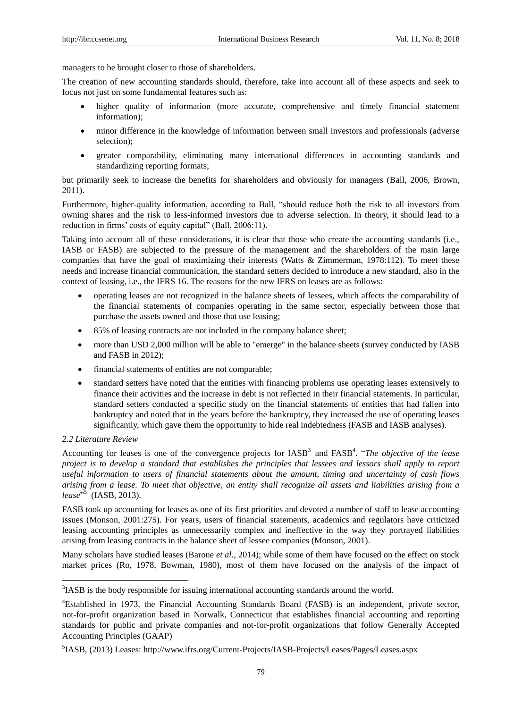managers to be brought closer to those of shareholders.

The creation of new accounting standards should, therefore, take into account all of these aspects and seek to focus not just on some fundamental features such as:

- higher quality of information (more accurate, comprehensive and timely financial statement information);
- minor difference in the knowledge of information between small investors and professionals (adverse selection);
- greater comparability, eliminating many international differences in accounting standards and standardizing reporting formats;

but primarily seek to increase the benefits for shareholders and obviously for managers (Ball, 2006, Brown, 2011).

Furthermore, higher-quality information, according to Ball, "should reduce both the risk to all investors from owning shares and the risk to less-informed investors due to adverse selection. In theory, it should lead to a reduction in firms' costs of equity capital" (Ball, 2006:11).

Taking into account all of these considerations, it is clear that those who create the accounting standards (i.e., IASB or FASB) are subjected to the pressure of the management and the shareholders of the main large companies that have the goal of maximizing their interests (Watts & Zimmerman, 1978:112). To meet these needs and increase financial communication, the standard setters decided to introduce a new standard, also in the context of leasing, i.e., the IFRS 16. The reasons for the new IFRS on leases are as follows:

- operating leases are not recognized in the balance sheets of lessees, which affects the comparability of the financial statements of companies operating in the same sector, especially between those that purchase the assets owned and those that use leasing;
- 85% of leasing contracts are not included in the company balance sheet;
- more than USD 2,000 million will be able to "emerge" in the balance sheets (survey conducted by IASB and FASB in 2012);
- financial statements of entities are not comparable;
- standard setters have noted that the entities with financing problems use operating leases extensively to finance their activities and the increase in debt is not reflected in their financial statements. In particular, standard setters conducted a specific study on the financial statements of entities that had fallen into bankruptcy and noted that in the years before the bankruptcy, they increased the use of operating leases significantly, which gave them the opportunity to hide real indebtedness (FASB and IASB analyses).

## *2.2 Literature Review*

-

Accounting for leases is one of the convergence projects for IASB<sup>3</sup> and FASB<sup>4</sup>. "*The objective of the lease project is to develop a standard that establishes the principles that lessees and lessors shall apply to report useful information to users of financial statements about the amount, timing and uncertainty of cash flows arising from a lease. To meet that objective, an entity shall recognize all assets and liabilities arising from a lease*" 5 (IASB, 2013).

FASB took up accounting for leases as one of its first priorities and devoted a number of staff to lease accounting issues (Monson, 2001:275). For years, users of financial statements, academics and regulators have criticized leasing accounting principles as unnecessarily complex and ineffective in the way they portrayed liabilities arising from leasing contracts in the balance sheet of lessee companies (Monson, 2001).

Many scholars have studied leases (Barone *et al*., 2014); while some of them have focused on the effect on stock market prices (Ro, 1978, Bowman, 1980), most of them have focused on the analysis of the impact of

<sup>&</sup>lt;sup>3</sup>IASB is the body responsible for issuing international accounting standards around the world.

<sup>4</sup>Established in 1973, the Financial Accounting Standards Board (FASB) is an independent, private sector, not-for-profit organization based in Norwalk, Connecticut that establishes financial accounting and reporting standards for public and private companies and not-for-profit organizations that follow Generally Accepted Accounting Principles (GAAP)

<sup>5</sup> IASB, (2013) Leases: http://www.ifrs.org/Current-Projects/IASB-Projects/Leases/Pages/Leases.aspx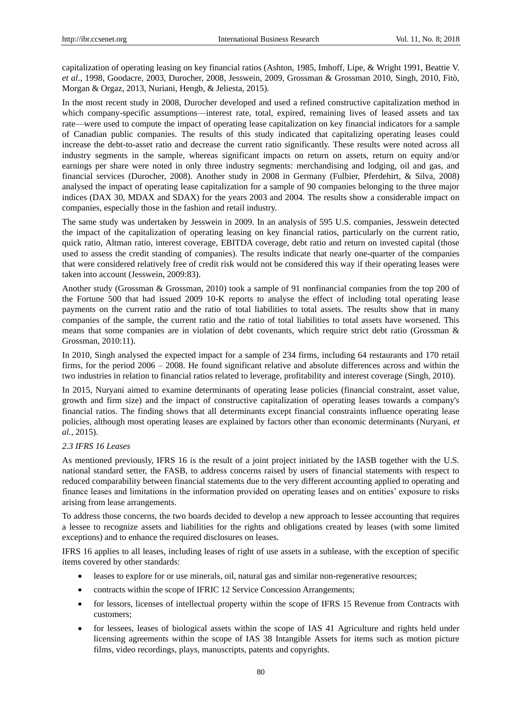capitalization of operating leasing on key financial ratios (Ashton, 1985, Imhoff, Lipe, & Wright 1991, Beattie V. *et al*., 1998, Goodacre, 2003, Durocher, 2008, Jesswein, 2009, Grossman & Grossman 2010, Singh, 2010, Fitò, Morgan & Orgaz, 2013, Nuriani, Hengb, & Jeliesta*,* 2015).

In the most recent study in 2008, Durocher developed and used a refined constructive capitalization method in which company-specific assumptions—interest rate, total, expired, remaining lives of leased assets and tax rate—were used to compute the impact of operating lease capitalization on key financial indicators for a sample of Canadian public companies. The results of this study indicated that capitalizing operating leases could increase the debt-to-asset ratio and decrease the current ratio significantly. These results were noted across all industry segments in the sample, whereas significant impacts on return on assets, return on equity and/or earnings per share were noted in only three industry segments: merchandising and lodging, oil and gas, and financial services (Durocher, 2008). Another study in 2008 in Germany (Fulbier, Pferdehirt, & Silva, 2008) analysed the impact of operating lease capitalization for a sample of 90 companies belonging to the three major indices (DAX 30, MDAX and SDAX) for the years 2003 and 2004. The results show a considerable impact on companies, especially those in the fashion and retail industry.

The same study was undertaken by Jesswein in 2009. In an analysis of 595 U.S. companies, Jesswein detected the impact of the capitalization of operating leasing on key financial ratios, particularly on the current ratio, quick ratio, Altman ratio, interest coverage, EBITDA coverage, debt ratio and return on invested capital (those used to assess the credit standing of companies). The results indicate that nearly one-quarter of the companies that were considered relatively free of credit risk would not be considered this way if their operating leases were taken into account (Jesswein, 2009:83).

Another study (Grossman & Grossman, 2010) took a sample of 91 nonfinancial companies from the top 200 of the Fortune 500 that had issued 2009 10-K reports to analyse the effect of including total operating lease payments on the current ratio and the ratio of total liabilities to total assets. The results show that in many companies of the sample, the current ratio and the ratio of total liabilities to total assets have worsened. This means that some companies are in violation of debt covenants, which require strict debt ratio (Grossman & Grossman, 2010:11).

In 2010, Singh analysed the expected impact for a sample of 234 firms, including 64 restaurants and 170 retail firms, for the period 2006 – 2008. He found significant relative and absolute differences across and within the two industries in relation to financial ratios related to leverage, profitability and interest coverage (Singh, 2010).

In 2015, Nuryani aimed to examine determinants of operating lease policies (financial constraint, asset value, growth and firm size) and the impact of constructive capitalization of operating leases towards a company's financial ratios. The finding shows that all determinants except financial constraints influence operating lease policies, although most operating leases are explained by factors other than economic determinants (Nuryani, *et al.,* 2015).

## *2.3 IFRS 16 Leases*

As mentioned previously, IFRS 16 is the result of a joint project initiated by the IASB together with the U.S. national standard setter, the FASB, to address concerns raised by users of financial statements with respect to reduced comparability between financial statements due to the very different accounting applied to operating and finance leases and limitations in the information provided on operating leases and on entities' exposure to risks arising from lease arrangements.

To address those concerns, the two boards decided to develop a new approach to lessee accounting that requires a lessee to recognize assets and liabilities for the rights and obligations created by leases (with some limited exceptions) and to enhance the required disclosures on leases.

IFRS 16 applies to all leases, including leases of right of use assets in a sublease, with the exception of specific items covered by other standards:

- leases to explore for or use minerals, oil, natural gas and similar non-regenerative resources;
- contracts within the scope of IFRIC 12 Service Concession Arrangements;
- for lessors, licenses of intellectual property within the scope of IFRS 15 Revenue from Contracts with customers;
- for lessees, leases of biological assets within the scope of IAS 41 Agriculture and rights held under licensing agreements within the scope of IAS 38 Intangible Assets for items such as motion picture films, video recordings, plays, manuscripts, patents and copyrights.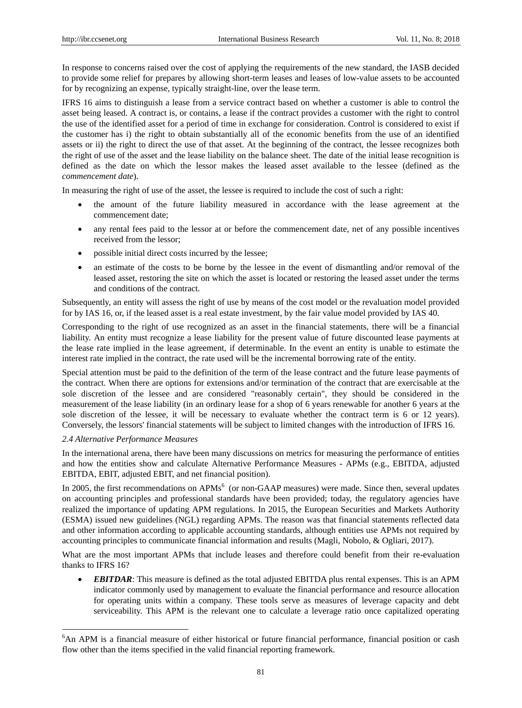In response to concerns raised over the cost of applying the requirements of the new standard, the IASB decided to provide some relief for prepares by allowing short-term leases and leases of low-value assets to be accounted for by recognizing an expense, typically straight-line, over the lease term.

IFRS 16 aims to distinguish a lease from a service contract based on whether a customer is able to control the asset being leased. A contract is, or contains, a lease if the contract provides a customer with the right to control the use of the identified asset for a period of time in exchange for consideration. Control is considered to exist if the customer has i) the right to obtain substantially all of the economic benefits from the use of an identified assets or ii) the right to direct the use of that asset. At the beginning of the contract, the lessee recognizes both the right of use of the asset and the lease liability on the balance sheet. The date of the initial lease recognition is defined as the date on which the lessor makes the leased asset available to the lessee (defined as the *commencement date*).

In measuring the right of use of the asset, the lessee is required to include the cost of such a right:

- the amount of the future liability measured in accordance with the lease agreement at the commencement date;
- any rental fees paid to the lessor at or before the commencement date, net of any possible incentives received from the lessor;
- possible initial direct costs incurred by the lessee;
- an estimate of the costs to be borne by the lessee in the event of dismantling and/or removal of the leased asset, restoring the site on which the asset is located or restoring the leased asset under the terms and conditions of the contract.

Subsequently, an entity will assess the right of use by means of the cost model or the revaluation model provided for by IAS 16, or, if the leased asset is a real estate investment, by the fair value model provided by IAS 40.

Corresponding to the right of use recognized as an asset in the financial statements, there will be a financial liability. An entity must recognize a lease liability for the present value of future discounted lease payments at the lease rate implied in the lease agreement, if determinable. In the event an entity is unable to estimate the interest rate implied in the contract, the rate used will be the incremental borrowing rate of the entity.

Special attention must be paid to the definition of the term of the lease contract and the future lease payments of the contract. When there are options for extensions and/or termination of the contract that are exercisable at the sole discretion of the lessee and are considered "reasonably certain", they should be considered in the measurement of the lease liability (in an ordinary lease for a shop of 6 years renewable for another 6 years at the sole discretion of the lessee, it will be necessary to evaluate whether the contract term is 6 or 12 years). Conversely, the lessors' financial statements will be subject to limited changes with the introduction of IFRS 16.

# *2.4 Alternative Performance Measures*

-

In the international arena, there have been many discussions on metrics for measuring the performance of entities and how the entities show and calculate Alternative Performance Measures - APMs (e.g., EBITDA, adjusted EBITDA, EBIT, adjusted EBIT, and net financial position).

In 2005, the first recommendations on  $APMs<sup>6</sup>$  (or non-GAAP measures) were made. Since then, several updates on accounting principles and professional standards have been provided; today, the regulatory agencies have realized the importance of updating APM regulations. In 2015, the European Securities and Markets Authority (ESMA) issued new guidelines (NGL) regarding APMs. The reason was that financial statements reflected data and other information according to applicable accounting standards, although entities use APMs not required by accounting principles to communicate financial information and results (Magli, Nobolo, & Ogliari, 2017).

What are the most important APMs that include leases and therefore could benefit from their re-evaluation thanks to IFRS 16?

 *EBITDAR*: This measure is defined as the total adjusted EBITDA plus rental expenses. This is an APM indicator commonly used by management to evaluate the financial performance and resource allocation for operating units within a company. These tools serve as measures of leverage capacity and debt serviceability. This APM is the relevant one to calculate a leverage ratio once capitalized operating

<sup>&</sup>lt;sup>6</sup>An APM is a financial measure of either historical or future financial performance, financial position or cash flow other than the items specified in the valid financial reporting framework.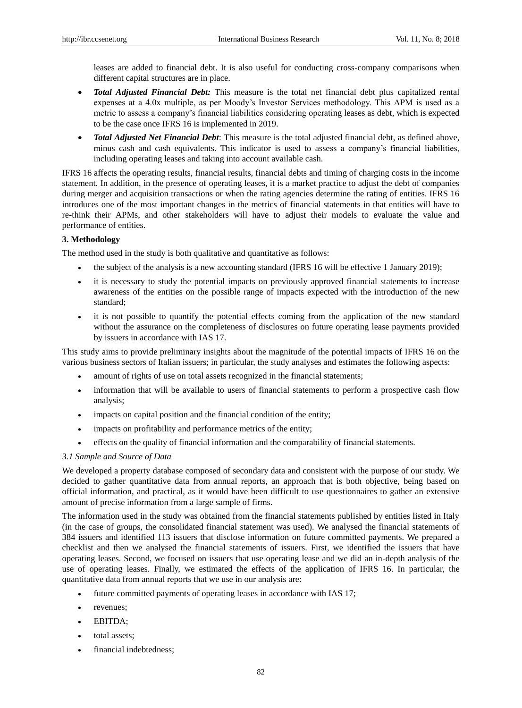leases are added to financial debt. It is also useful for conducting cross-company comparisons when different capital structures are in place.

- *Total Adjusted Financial Debt:* This measure is the total net financial debt plus capitalized rental expenses at a 4.0x multiple, as per Moody's Investor Services methodology. This APM is used as a metric to assess a company's financial liabilities considering operating leases as debt, which is expected to be the case once IFRS 16 is implemented in 2019.
- *Total Adjusted Net Financial Debt*: This measure is the total adjusted financial debt, as defined above, minus cash and cash equivalents. This indicator is used to assess a company's financial liabilities, including operating leases and taking into account available cash.

IFRS 16 affects the operating results, financial results, financial debts and timing of charging costs in the income statement. In addition, in the presence of operating leases, it is a market practice to adjust the debt of companies during merger and acquisition transactions or when the rating agencies determine the rating of entities. IFRS 16 introduces one of the most important changes in the metrics of financial statements in that entities will have to re-think their APMs, and other stakeholders will have to adjust their models to evaluate the value and performance of entities.

## **3. Methodology**

The method used in the study is both qualitative and quantitative as follows:

- the subject of the analysis is a new accounting standard (IFRS 16 will be effective 1 January 2019);
- it is necessary to study the potential impacts on previously approved financial statements to increase awareness of the entities on the possible range of impacts expected with the introduction of the new standard;
- it is not possible to quantify the potential effects coming from the application of the new standard without the assurance on the completeness of disclosures on future operating lease payments provided by issuers in accordance with IAS 17.

This study aims to provide preliminary insights about the magnitude of the potential impacts of IFRS 16 on the various business sectors of Italian issuers; in particular, the study analyses and estimates the following aspects:

- amount of rights of use on total assets recognized in the financial statements;
- information that will be available to users of financial statements to perform a prospective cash flow analysis;
- impacts on capital position and the financial condition of the entity;
- impacts on profitability and performance metrics of the entity;
- effects on the quality of financial information and the comparability of financial statements.

## *3.1 Sample and Source of Data*

We developed a property database composed of secondary data and consistent with the purpose of our study. We decided to gather quantitative data from annual reports, an approach that is both objective, being based on official information, and practical, as it would have been difficult to use questionnaires to gather an extensive amount of precise information from a large sample of firms.

The information used in the study was obtained from the financial statements published by entities listed in Italy (in the case of groups, the consolidated financial statement was used). We analysed the financial statements of 384 issuers and identified 113 issuers that disclose information on future committed payments. We prepared a checklist and then we analysed the financial statements of issuers. First, we identified the issuers that have operating leases. Second, we focused on issuers that use operating lease and we did an in-depth analysis of the use of operating leases. Finally, we estimated the effects of the application of IFRS 16. In particular, the quantitative data from annual reports that we use in our analysis are:

- future committed payments of operating leases in accordance with IAS 17;
- revenues;
- EBITDA;
- total assets;
- financial indebtedness;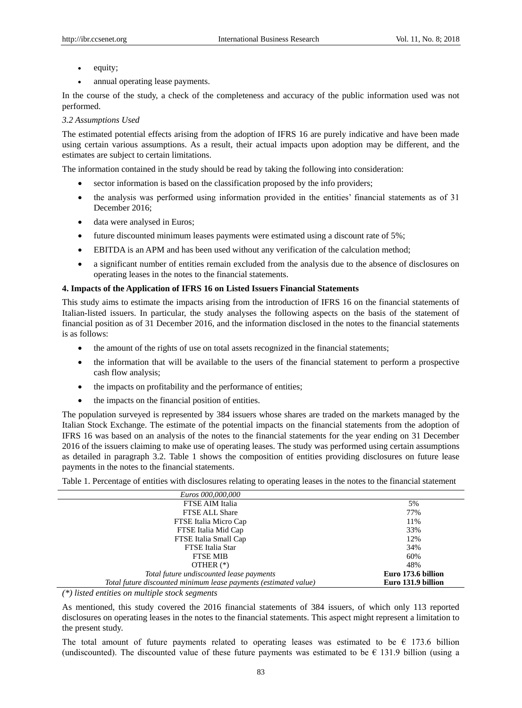- equity;
- annual operating lease payments.

In the course of the study, a check of the completeness and accuracy of the public information used was not performed.

#### *3.2 Assumptions Used*

The estimated potential effects arising from the adoption of IFRS 16 are purely indicative and have been made using certain various assumptions. As a result, their actual impacts upon adoption may be different, and the estimates are subject to certain limitations.

The information contained in the study should be read by taking the following into consideration:

- sector information is based on the classification proposed by the info providers;
- the analysis was performed using information provided in the entities' financial statements as of 31 December 2016;
- data were analysed in Euros;
- $\bullet$  future discounted minimum leases payments were estimated using a discount rate of 5%;
- EBITDA is an APM and has been used without any verification of the calculation method;
- a significant number of entities remain excluded from the analysis due to the absence of disclosures on operating leases in the notes to the financial statements.

#### **4. Impacts of the Application of IFRS 16 on Listed Issuers Financial Statements**

This study aims to estimate the impacts arising from the introduction of IFRS 16 on the financial statements of Italian-listed issuers. In particular, the study analyses the following aspects on the basis of the statement of financial position as of 31 December 2016, and the information disclosed in the notes to the financial statements is as follows:

- the amount of the rights of use on total assets recognized in the financial statements;
- the information that will be available to the users of the financial statement to perform a prospective cash flow analysis;
- the impacts on profitability and the performance of entities;
- the impacts on the financial position of entities.

The population surveyed is represented by 384 issuers whose shares are traded on the markets managed by the Italian Stock Exchange. The estimate of the potential impacts on the financial statements from the adoption of IFRS 16 was based on an analysis of the notes to the financial statements for the year ending on 31 December 2016 of the issuers claiming to make use of operating leases. The study was performed using certain assumptions as detailed in paragraph 3.2. Table 1 shows the composition of entities providing disclosures on future lease payments in the notes to the financial statements.

Table 1. Percentage of entities with disclosures relating to operating leases in the notes to the financial statement

| Euros 000,000,000                                                |                    |
|------------------------------------------------------------------|--------------------|
| FTSE AIM Italia                                                  | 5%                 |
| <b>FTSE ALL Share</b>                                            | 77%                |
| FTSE Italia Micro Cap                                            | 11%                |
| FTSE Italia Mid Cap                                              | 33%                |
| FTSE Italia Small Cap                                            | 12%                |
| <b>FTSE</b> Italia Star                                          | 34%                |
| <b>FTSE MIB</b>                                                  | 60%                |
| OTHER $(*)$                                                      | 48%                |
| Total future undiscounted lease payments                         | Euro 173.6 billion |
| Total future discounted minimum lease payments (estimated value) | Euro 131.9 billion |

*(\*) listed entities on multiple stock segments*

As mentioned, this study covered the 2016 financial statements of 384 issuers, of which only 113 reported disclosures on operating leases in the notes to the financial statements. This aspect might represent a limitation to the present study.

The total amount of future payments related to operating leases was estimated to be  $\epsilon$  173.6 billion (undiscounted). The discounted value of these future payments was estimated to be  $\epsilon$  131.9 billion (using a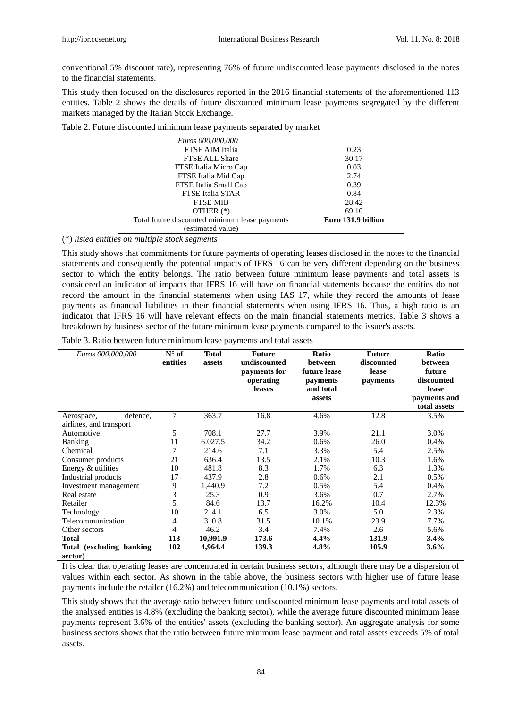conventional 5% discount rate), representing 76% of future undiscounted lease payments disclosed in the notes to the financial statements.

This study then focused on the disclosures reported in the 2016 financial statements of the aforementioned 113 entities. Table 2 shows the details of future discounted minimum lease payments segregated by the different markets managed by the Italian Stock Exchange.

| Table 2. Future discounted minimum lease payments separated by market |  |  |
|-----------------------------------------------------------------------|--|--|
|-----------------------------------------------------------------------|--|--|

| Euros 000,000,000                              |                    |
|------------------------------------------------|--------------------|
| FTSE AIM Italia                                | 0.23               |
| <b>FTSE ALL Share</b>                          | 30.17              |
| FTSE Italia Micro Cap                          | 0.03               |
| FTSE Italia Mid Cap                            | 2.74               |
| FTSE Italia Small Cap                          | 0.39               |
| <b>FTSE Italia STAR</b>                        | 0.84               |
| <b>FTSE MIB</b>                                | 28.42              |
| OTHER $(*)$                                    | 69.10              |
| Total future discounted minimum lease payments | Euro 131.9 billion |
| (estimated value)                              |                    |

(\*) *listed entities on multiple stock segments*

This study shows that commitments for future payments of operating leases disclosed in the notes to the financial statements and consequently the potential impacts of IFRS 16 can be very different depending on the business sector to which the entity belongs. The ratio between future minimum lease payments and total assets is considered an indicator of impacts that IFRS 16 will have on financial statements because the entities do not record the amount in the financial statements when using IAS 17, while they record the amounts of lease payments as financial liabilities in their financial statements when using IFRS 16. Thus, a high ratio is an indicator that IFRS 16 will have relevant effects on the main financial statements metrics. Table 3 shows a breakdown by business sector of the future minimum lease payments compared to the issuer's assets.

Table 3. Ratio between future minimum lease payments and total assets

| Euros 000,000,000            | $N^{\circ}$ of<br>entities | <b>Total</b><br>assets | <b>Future</b><br>undiscounted<br>payments for<br>operating<br>leases | Ratio<br>between<br>future lease<br>payments<br>and total<br>assets | <b>Future</b><br>discounted<br>lease<br>payments | Ratio<br>between<br>future<br>discounted<br>lease<br>payments and<br>total assets |
|------------------------------|----------------------------|------------------------|----------------------------------------------------------------------|---------------------------------------------------------------------|--------------------------------------------------|-----------------------------------------------------------------------------------|
| defence.<br>Aerospace,       | 7                          | 363.7                  | 16.8                                                                 | 4.6%                                                                | 12.8                                             | 3.5%                                                                              |
| airlines, and transport      |                            |                        |                                                                      |                                                                     |                                                  |                                                                                   |
| Automotive                   | 5                          | 708.1                  | 27.7                                                                 | 3.9%                                                                | 21.1                                             | 3.0%                                                                              |
| <b>Banking</b>               | 11                         | 6.027.5                | 34.2                                                                 | 0.6%                                                                | 26.0                                             | 0.4%                                                                              |
| Chemical                     | 7                          | 214.6                  | 7.1                                                                  | 3.3%                                                                | 5.4                                              | 2.5%                                                                              |
| Consumer products            | 21                         | 636.4                  | 13.5                                                                 | 2.1%                                                                | 10.3                                             | 1.6%                                                                              |
| Energy & utilities           | 10                         | 481.8                  | 8.3                                                                  | 1.7%                                                                | 6.3                                              | 1.3%                                                                              |
| Industrial products          | 17                         | 437.9                  | 2.8                                                                  | 0.6%                                                                | 2.1                                              | 0.5%                                                                              |
| Investment management        | 9                          | 1,440.9                | 7.2                                                                  | 0.5%                                                                | 5.4                                              | 0.4%                                                                              |
| Real estate                  | 3                          | 25.3                   | 0.9                                                                  | 3.6%                                                                | 0.7                                              | 2.7%                                                                              |
| Retailer                     | 5                          | 84.6                   | 13.7                                                                 | 16.2%                                                               | 10.4                                             | 12.3%                                                                             |
| Technology                   | 10                         | 214.1                  | 6.5                                                                  | 3.0%                                                                | 5.0                                              | 2.3%                                                                              |
| Telecommunication            | 4                          | 310.8                  | 31.5                                                                 | 10.1%                                                               | 23.9                                             | 7.7%                                                                              |
| Other sectors                | 4                          | 46.2                   | 3.4                                                                  | 7.4%                                                                | 2.6                                              | 5.6%                                                                              |
| <b>Total</b>                 | 113                        | 10,991.9               | 173.6                                                                | 4.4%                                                                | 131.9                                            | 3.4%                                                                              |
| (excluding banking)<br>Total | 102                        | 4,964.4                | 139.3                                                                | 4.8%                                                                | 105.9                                            | $3.6\%$                                                                           |
| sector)                      |                            |                        |                                                                      |                                                                     |                                                  |                                                                                   |

It is clear that operating leases are concentrated in certain business sectors, although there may be a dispersion of values within each sector. As shown in the table above, the business sectors with higher use of future lease payments include the retailer (16.2%) and telecommunication (10.1%) sectors.

This study shows that the average ratio between future undiscounted minimum lease payments and total assets of the analysed entities is 4.8% (excluding the banking sector), while the average future discounted minimum lease payments represent 3.6% of the entities' assets (excluding the banking sector). An aggregate analysis for some business sectors shows that the ratio between future minimum lease payment and total assets exceeds 5% of total assets.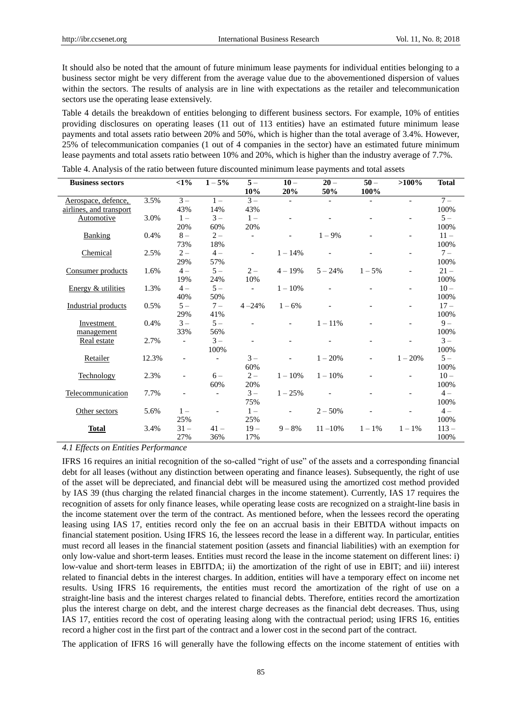It should also be noted that the amount of future minimum lease payments for individual entities belonging to a business sector might be very different from the average value due to the abovementioned dispersion of values within the sectors. The results of analysis are in line with expectations as the retailer and telecommunication sectors use the operating lease extensively.

Table 4 details the breakdown of entities belonging to different business sectors. For example, 10% of entities providing disclosures on operating leases (11 out of 113 entities) have an estimated future minimum lease payments and total assets ratio between 20% and 50%, which is higher than the total average of 3.4%. However, 25% of telecommunication companies (1 out of 4 companies in the sector) have an estimated future minimum lease payments and total assets ratio between 10% and 20%, which is higher than the industry average of 7.7%.

| <b>Business sectors</b> |       | $<1\%$                   | $1 - 5\%$                | $5-$                     | $10-$                    | $20 -$                   | $50-$                    | $>100\%$                 | <b>Total</b> |
|-------------------------|-------|--------------------------|--------------------------|--------------------------|--------------------------|--------------------------|--------------------------|--------------------------|--------------|
|                         |       |                          |                          | 10%                      | 20%                      | 50%                      | 100%                     |                          |              |
| Aerospace, defence,     | 3.5%  | $3 -$                    | $1 -$                    | $3 -$                    | $\overline{a}$           | $\overline{\phantom{a}}$ | $\overline{\phantom{a}}$ | $\overline{\phantom{0}}$ | $7 -$        |
| airlines, and transport |       | 43%                      | 14%                      | 43%                      |                          |                          |                          |                          | 100%         |
| Automotive              | 3.0%  | $1 -$                    | $3-$                     | $1 -$                    | $\overline{\phantom{a}}$ |                          | $\overline{\phantom{a}}$ | $\blacksquare$           | $5-$         |
|                         |       | 20%                      | 60%                      | 20%                      |                          |                          |                          |                          | 100%         |
| <b>Banking</b>          | 0.4%  | $8-$                     | $2-$                     | $\overline{\phantom{a}}$ | $\overline{\phantom{a}}$ | $1 - 9\%$                | $\blacksquare$           | $\overline{\phantom{0}}$ | $11 -$       |
|                         |       | 73%                      | 18%                      |                          |                          |                          |                          |                          | 100%         |
| Chemical                | 2.5%  | $2-$                     | $4-$                     | $\overline{\phantom{a}}$ | $1 - 14%$                | $\overline{\phantom{a}}$ |                          | $\overline{\phantom{0}}$ | $7 -$        |
|                         |       | 29%                      | 57%                      |                          |                          |                          |                          |                          | 100%         |
| Consumer products       | 1.6%  | $4-$                     | $5-$                     | $2-$                     | $4 - 19%$                | $5 - 24%$                | $1 - 5\%$                |                          | $21 -$       |
|                         |       | 19%                      | 24%                      | 10%                      |                          |                          |                          |                          | 100%         |
| Energy & utilities      | 1.3%  | $4-$                     | $5-$                     | $\overline{\phantom{a}}$ | $1 - 10\%$               | $\overline{\phantom{a}}$ |                          | $\overline{a}$           | $10 -$       |
|                         |       | 40%                      | 50%                      |                          |                          |                          |                          |                          | 100%         |
| Industrial products     | 0.5%  | $5-$                     | $7-$                     | $4 - 24%$                | $1 - 6\%$                |                          | $\overline{\phantom{a}}$ | $\overline{\phantom{0}}$ | $17 -$       |
|                         |       | 29%                      | 41%                      |                          |                          |                          |                          |                          | 100%         |
| Investment              | 0.4%  | $3-$                     | $5-$                     |                          |                          | $1 - 11\%$               | $\blacksquare$           |                          | $9-$         |
| management              |       | 33%                      | 56%                      |                          |                          |                          |                          |                          | 100%         |
| Real estate             | 2.7%  | $\overline{a}$           | $3-$                     |                          |                          |                          | $\blacksquare$           |                          | $3 -$        |
|                         |       |                          | 100%                     |                          |                          |                          |                          |                          | 100%         |
| Retailer                | 12.3% | $\overline{\phantom{a}}$ | $\overline{\phantom{a}}$ | $3-$                     |                          | $1 - 20%$                | $\overline{\phantom{a}}$ | $1 - 20%$                | $5-$         |
|                         |       |                          |                          | 60%                      |                          |                          |                          |                          | 100%         |
| Technology              | 2.3%  | $\overline{\phantom{a}}$ | $6-$                     | $2 -$                    | $1 - 10\%$               | $1 - 10\%$               | $\blacksquare$           | $\overline{\phantom{0}}$ | $10 -$       |
|                         |       |                          | 60%                      | 20%                      |                          |                          |                          |                          | 100%         |
| Telecommunication       | 7.7%  | $\overline{\phantom{a}}$ | $\overline{\phantom{a}}$ | $3-$                     | $1 - 25%$                |                          |                          |                          | $4-$         |
|                         |       |                          |                          | 75%                      |                          |                          |                          |                          | 100%         |
| Other sectors           | 5.6%  | $1 -$                    | $\qquad \qquad -$        | $1 -$                    | $\overline{\phantom{a}}$ | $2 - 50%$                | $\overline{\phantom{a}}$ |                          | $4-$         |
|                         |       | 25%                      |                          | 25%                      |                          |                          |                          |                          | 100%         |
| <b>Total</b>            | 3.4%  | $31 -$                   | $41 -$                   | $19 -$                   | $9 - 8%$                 | $11 - 10\%$              | $1 - 1\%$                | $1 - 1\%$                | $113 -$      |
|                         |       | 27%                      | 36%                      | 17%                      |                          |                          |                          |                          | 100%         |

Table 4. Analysis of the ratio between future discounted minimum lease payments and total assets

# *4.1 Effects on Entities Performance*

IFRS 16 requires an initial recognition of the so-called "right of use" of the assets and a corresponding financial debt for all leases (without any distinction between operating and finance leases). Subsequently, the right of use of the asset will be depreciated, and financial debt will be measured using the amortized cost method provided by IAS 39 (thus charging the related financial charges in the income statement). Currently, IAS 17 requires the recognition of assets for only finance leases, while operating lease costs are recognized on a straight-line basis in the income statement over the term of the contract. As mentioned before, when the lessees record the operating leasing using IAS 17, entities record only the fee on an accrual basis in their EBITDA without impacts on financial statement position. Using IFRS 16, the lessees record the lease in a different way. In particular, entities must record all leases in the financial statement position (assets and financial liabilities) with an exemption for only low-value and short-term leases. Entities must record the lease in the income statement on different lines: i) low-value and short-term leases in EBITDA; ii) the amortization of the right of use in EBIT; and iii) interest related to financial debts in the interest charges. In addition, entities will have a temporary effect on income net results. Using IFRS 16 requirements, the entities must record the amortization of the right of use on a straight-line basis and the interest charges related to financial debts. Therefore, entities record the amortization plus the interest charge on debt, and the interest charge decreases as the financial debt decreases. Thus, using IAS 17, entities record the cost of operating leasing along with the contractual period; using IFRS 16, entities record a higher cost in the first part of the contract and a lower cost in the second part of the contract.

The application of IFRS 16 will generally have the following effects on the income statement of entities with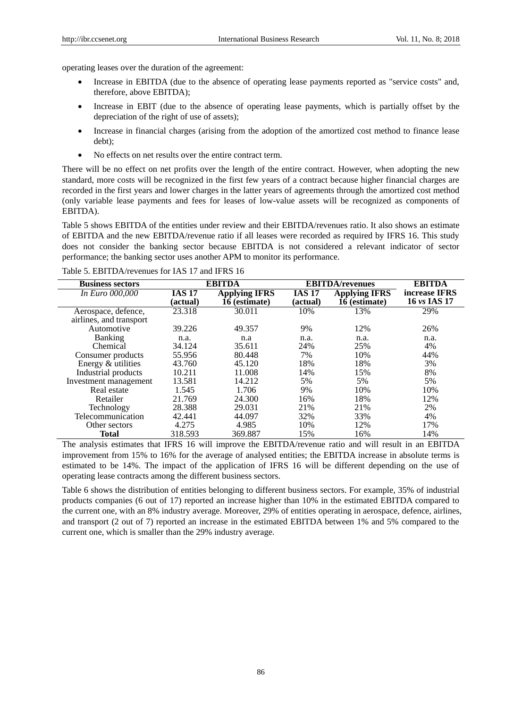operating leases over the duration of the agreement:

- Increase in EBITDA (due to the absence of operating lease payments reported as "service costs" and, therefore, above EBITDA);
- Increase in EBIT (due to the absence of operating lease payments, which is partially offset by the depreciation of the right of use of assets);
- Increase in financial charges (arising from the adoption of the amortized cost method to finance lease debt);
- No effects on net results over the entire contract term.

There will be no effect on net profits over the length of the entire contract. However, when adopting the new standard, more costs will be recognized in the first few years of a contract because higher financial charges are recorded in the first years and lower charges in the latter years of agreements through the amortized cost method (only variable lease payments and fees for leases of low-value assets will be recognized as components of EBITDA).

Table 5 shows EBITDA of the entities under review and their EBITDA/revenues ratio. It also shows an estimate of EBITDA and the new EBITDA/revenue ratio if all leases were recorded as required by IFRS 16. This study does not consider the banking sector because EBITDA is not considered a relevant indicator of sector performance; the banking sector uses another APM to monitor its performance.

| <b>Business sectors</b> | <b>EBITDA</b> |                      |               | <b>EBITDA/revenues</b> | <b>EBITDA</b> |
|-------------------------|---------------|----------------------|---------------|------------------------|---------------|
| In Euro 000,000         | <b>IAS 17</b> | <b>Applying IFRS</b> | <b>IAS 17</b> | <b>Applying IFRS</b>   | increase IFRS |
|                         | (actual)      | 16 (estimate)        | (actual)      | 16 (estimate)          | 16 vs IAS 17  |
| Aerospace, defence,     | 23.318        | 30.011               | 10%           | 13%                    | 29%           |
| airlines, and transport |               |                      |               |                        |               |
| Automotive              | 39.226        | 49.357               | 9%            | 12%                    | 26%           |
| Banking                 | n.a.          | n.a                  | n.a.          | n.a.                   | n.a.          |
| Chemical                | 34.124        | 35.611               | 24%           | 25%                    | 4%            |
| Consumer products       | 55.956        | 80.448               | 7%            | 10%                    | 44%           |
| Energy & utilities      | 43.760        | 45.120               | 18%           | 18%                    | 3%            |
| Industrial products     | 10.211        | 11.008               | 14%           | 15%                    | 8%            |
| Investment management   | 13.581        | 14.212               | 5%            | 5%                     | 5%            |
| Real estate             | 1.545         | 1.706                | 9%            | 10%                    | 10%           |
| Retailer                | 21.769        | 24.300               | 16%           | 18%                    | 12%           |
| Technology              | 28.388        | 29.031               | 21%           | 21%                    | 2%            |
| Telecommunication       | 42.441        | 44.097               | 32%           | 33%                    | 4%            |
| Other sectors           | 4.275         | 4.985                | 10%           | 12%                    | 17%           |
| Total                   | 318.593       | 369.887              | 15%           | 16%                    | 14%           |

Table 5. EBITDA/revenues for IAS 17 and IFRS 16

The analysis estimates that IFRS 16 will improve the EBITDA/revenue ratio and will result in an EBITDA improvement from 15% to 16% for the average of analysed entities; the EBITDA increase in absolute terms is estimated to be 14%. The impact of the application of IFRS 16 will be different depending on the use of operating lease contracts among the different business sectors.

Table 6 shows the distribution of entities belonging to different business sectors. For example, 35% of industrial products companies (6 out of 17) reported an increase higher than 10% in the estimated EBITDA compared to the current one, with an 8% industry average. Moreover, 29% of entities operating in aerospace, defence, airlines, and transport (2 out of 7) reported an increase in the estimated EBITDA between 1% and 5% compared to the current one, which is smaller than the 29% industry average.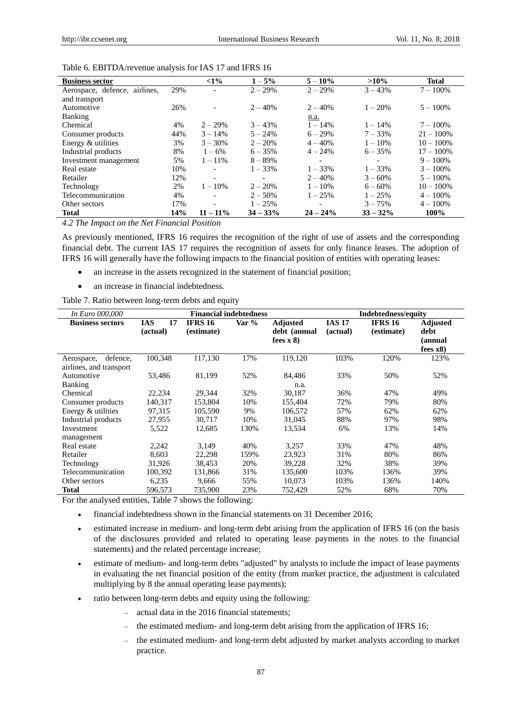| <b>Business sector</b>        |     | $<1\%$                   | $1 - 5\%$   | $5 - 10\%$  | $>10\%$     | <b>Total</b> |
|-------------------------------|-----|--------------------------|-------------|-------------|-------------|--------------|
| Aerospace, defence, airlines, | 29% |                          | $2 - 29%$   | $2 - 29%$   | $3 - 43%$   | $7 - 100\%$  |
| and transport                 |     |                          |             |             |             |              |
| Automotive                    | 26% |                          | $2 - 40%$   | $2 - 40%$   | $1 - 20%$   | $5 - 100\%$  |
| Banking                       |     |                          |             | <u>n.a.</u> |             |              |
| Chemical                      | 4%  | $2 - 29%$                | $3 - 43%$   | $1 - 14\%$  | $1 - 14\%$  | $7 - 100\%$  |
| Consumer products             | 44% | $3 - 14\%$               | $5 - 24\%$  | $6 - 29%$   | $7 - 33%$   | $21 - 100\%$ |
| Energy & utilities            | 3%  | $3 - 30\%$               | $2 - 20%$   | $4 - 40\%$  | $1 - 10\%$  | $10 - 100\%$ |
| Industrial products           | 8%  | $1 - 6\%$                | $6 - 35\%$  | $4 - 24%$   | $6 - 35\%$  | $17 - 100\%$ |
| Investment management         | 5%  | $1 - 11\%$               | $8 - 89\%$  | -           |             | $9 - 100\%$  |
| Real estate                   | 10% |                          | $1 - 33\%$  | $1 - 33\%$  | $1 - 33\%$  | $3 - 100\%$  |
| Retailer                      | 12% | $\overline{\phantom{a}}$ |             | $2 - 40%$   | $3 - 60\%$  | $5 - 100\%$  |
| Technology                    | 2%  | $1 - 10\%$               | $2 - 20%$   | $1 - 10\%$  | $6 - 60%$   | $10 - 100\%$ |
| Telecommunication             | 4%  |                          | $2 - 50\%$  | $1 - 25%$   | $1 - 25%$   | $4 - 100\%$  |
| Other sectors                 | 17% |                          | $1 - 25%$   |             | $3 - 75%$   | $4 - 100\%$  |
| <b>Total</b>                  | 14% | $11 - 11\%$              | $34 - 33\%$ | $24 - 24%$  | $33 - 32\%$ | 100%         |

|  | Table 6. EBITDA/revenue analysis for IAS 17 and IFRS 16 |  |
|--|---------------------------------------------------------|--|
|--|---------------------------------------------------------|--|

*4.2 The Impact on the Net Financial Position*

As previously mentioned, IFRS 16 requires the recognition of the right of use of assets and the corresponding financial debt. The current IAS 17 requires the recognition of assets for only finance leases. The adoption of IFRS 16 will generally have the following impacts to the financial position of entities with operating leases:

- an increase in the assets recognized in the statement of financial position;
- an increase in financial indebtedness.

Table 7. Ratio between long-term debts and equity

| In Euro 000,000                                   |                              |                              | <b>Financial indebtedness</b> |                                               |                           | Indebtedness/equity          |                                                   |
|---------------------------------------------------|------------------------------|------------------------------|-------------------------------|-----------------------------------------------|---------------------------|------------------------------|---------------------------------------------------|
| <b>Business sectors</b>                           | <b>IAS</b><br>17<br>(actual) | <b>IFRS 16</b><br>(estimate) | Var %                         | <b>Adjusted</b><br>debt (annual<br>fees $x 8$ | <b>IAS 17</b><br>(actual) | <b>IFRS 16</b><br>(estimate) | <b>Adjusted</b><br>debt<br>(annual<br>fees $x8$ ) |
| defence.<br>Aerospace,<br>airlines, and transport | 100,348                      | 117,130                      | 17%                           | 119,120                                       | 103%                      | 120%                         | 123%                                              |
| Automotive                                        | 53,486                       | 81,199                       | 52%                           | 84,486                                        | 33%                       | 50%                          | 52%                                               |
| Banking                                           |                              |                              |                               | n.a.                                          |                           |                              |                                                   |
| Chemical                                          | 22,234                       | 29,344                       | 32%                           | 30,187                                        | 36%                       | 47%                          | 49%                                               |
| Consumer products                                 | 140,317                      | 153,804                      | 10%                           | 155,404                                       | 72%                       | 79%                          | 80%                                               |
| Energy & utilities                                | 97,315                       | 105.590                      | 9%                            | 106.572                                       | 57%                       | 62%                          | 62%                                               |
| Industrial products                               | 27,955                       | 30,717                       | 10%                           | 31,045                                        | 88%                       | 97%                          | 98%                                               |
| Investment                                        | 5,522                        | 12,685                       | 130%                          | 13,534                                        | 6%                        | 13%                          | 14%                                               |
| management                                        |                              |                              |                               |                                               |                           |                              |                                                   |
| Real estate                                       | 2,242                        | 3,149                        | 40%                           | 3,257                                         | 33%                       | 47%                          | 48%                                               |
| Retailer                                          | 8.603                        | 22,298                       | 159%                          | 23,923                                        | 31%                       | 80%                          | 86%                                               |
| Technology                                        | 31,926                       | 38.453                       | 20%                           | 39,228                                        | 32%                       | 38%                          | 39%                                               |
| Telecommunication                                 | 100,392                      | 131,866                      | 31%                           | 135,600                                       | 103%                      | 136%                         | 39%                                               |
| Other sectors                                     | 6,235                        | 9,666                        | 55%                           | 10.073                                        | 103%                      | 136%                         | 140%                                              |
| Total                                             | 596,573                      | 735,900                      | 23%                           | 752,429                                       | 52%                       | 68%                          | 70%                                               |

For the analysed entities, Table 7 shows the following:

- financial indebtedness shown in the financial statements on 31 December 2016;
- estimated increase in medium- and long-term debt arising from the application of IFRS 16 (on the basis of the disclosures provided and related to operating lease payments in the notes to the financial statements) and the related percentage increase;
- estimate of medium- and long-term debts "adjusted" by analysts to include the impact of lease payments in evaluating the net financial position of the entity (from market practice, the adjustment is calculated multiplying by 8 the annual operating lease payments);
- ratio between long-term debts and equity using the following:
	- actual data in the 2016 financial statements;
	- the estimated medium- and long-term debt arising from the application of IFRS 16;
	- the estimated medium- and long-term debt adjusted by market analysts according to market practice.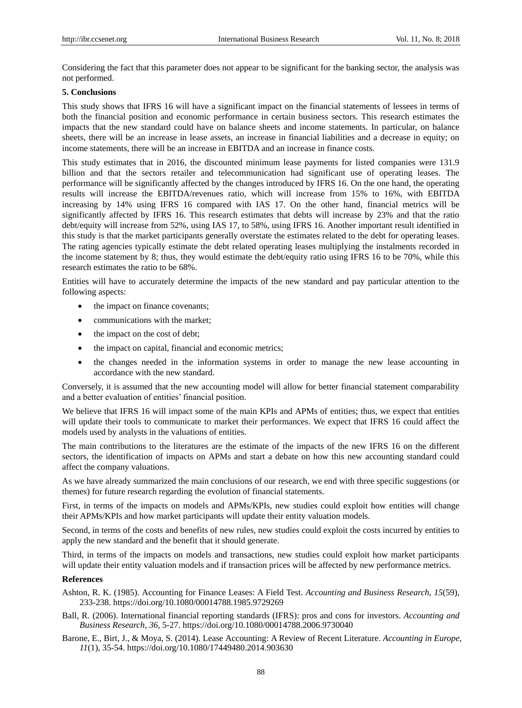Considering the fact that this parameter does not appear to be significant for the banking sector, the analysis was not performed.

## **5. Conclusions**

This study shows that IFRS 16 will have a significant impact on the financial statements of lessees in terms of both the financial position and economic performance in certain business sectors. This research estimates the impacts that the new standard could have on balance sheets and income statements. In particular, on balance sheets, there will be an increase in lease assets, an increase in financial liabilities and a decrease in equity; on income statements, there will be an increase in EBITDA and an increase in finance costs.

This study estimates that in 2016, the discounted minimum lease payments for listed companies were 131.9 billion and that the sectors retailer and telecommunication had significant use of operating leases. The performance will be significantly affected by the changes introduced by IFRS 16. On the one hand, the operating results will increase the EBITDA/revenues ratio, which will increase from 15% to 16%, with EBITDA increasing by 14% using IFRS 16 compared with IAS 17. On the other hand, financial metrics will be significantly affected by IFRS 16. This research estimates that debts will increase by 23% and that the ratio debt/equity will increase from 52%, using IAS 17, to 58%, using IFRS 16. Another important result identified in this study is that the market participants generally overstate the estimates related to the debt for operating leases. The rating agencies typically estimate the debt related operating leases multiplying the instalments recorded in the income statement by 8; thus, they would estimate the debt/equity ratio using IFRS 16 to be 70%, while this research estimates the ratio to be 68%.

Entities will have to accurately determine the impacts of the new standard and pay particular attention to the following aspects:

- the impact on finance covenants;
- communications with the market;
- the impact on the cost of debt;
- the impact on capital, financial and economic metrics;
- the changes needed in the information systems in order to manage the new lease accounting in accordance with the new standard.

Conversely, it is assumed that the new accounting model will allow for better financial statement comparability and a better evaluation of entities' financial position.

We believe that IFRS 16 will impact some of the main KPIs and APMs of entities; thus, we expect that entities will update their tools to communicate to market their performances. We expect that IFRS 16 could affect the models used by analysts in the valuations of entities.

The main contributions to the literatures are the estimate of the impacts of the new IFRS 16 on the different sectors, the identification of impacts on APMs and start a debate on how this new accounting standard could affect the company valuations.

As we have already summarized the main conclusions of our research, we end with three specific suggestions (or themes) for future research regarding the evolution of financial statements.

First, in terms of the impacts on models and APMs/KPIs, new studies could exploit how entities will change their APMs/KPIs and how market participants will update their entity valuation models.

Second, in terms of the costs and benefits of new rules, new studies could exploit the costs incurred by entities to apply the new standard and the benefit that it should generate.

Third, in terms of the impacts on models and transactions, new studies could exploit how market participants will update their entity valuation models and if transaction prices will be affected by new performance metrics.

#### **References**

- Ashton, R. K. (1985). Accounting for Finance Leases: A Field Test. *Accounting and Business Research, 15*(59), 233-238. https://doi.org/10.1080/00014788.1985.9729269
- Ball, R. (2006). International financial reporting standards (IFRS): pros and cons for investors. *Accounting and Business Research*, *36,* 5-27. https://doi.org/10.1080/00014788.2006.9730040
- Barone, E., Birt, J., & Moya, S. (2014). Lease Accounting: A Review of Recent Literature. *Accounting in Europe*, *11*(1), 35-54. https://doi.org/10.1080/17449480.2014.903630